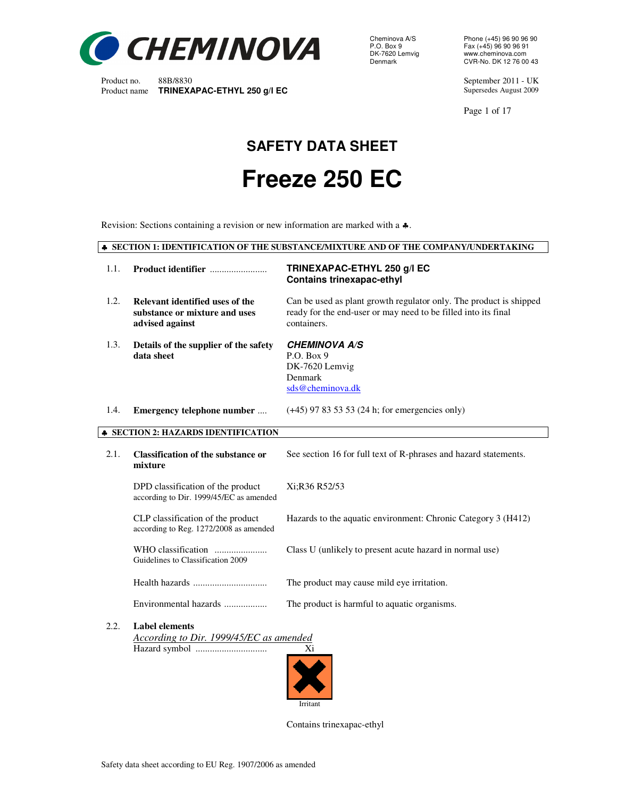

Cheminova A/S Phone (+45) 96 90 96 90 P.O. Box 9 Fax (+45) 96 90 96 91 DK-7620 Lemvig www.cheminova.com<br>Denmark CVR-No. DK 12 76 00

Product no. 88B/8830 September 2011 - UK<br>
Product name **TRINEXAPAC-ETHYL 250 g/l EC** Supersedes August 2009

Page 1 of 17

# **SAFETY DATA SHEET Freeze 250 EC**

Revision: Sections containing a revision or new information are marked with a ♣.

♣ **SECTION 1: IDENTIFICATION OF THE SUBSTANCE/MIXTURE AND OF THE COMPANY/UNDERTAKING** 

| 1.1. |                                                                                     | TRINEXAPAC-ETHYL 250 g/l EC<br><b>Contains trinexapac-ethyl</b>                                                                                     |  |  |
|------|-------------------------------------------------------------------------------------|-----------------------------------------------------------------------------------------------------------------------------------------------------|--|--|
| 1.2. | Relevant identified uses of the<br>substance or mixture and uses<br>advised against | Can be used as plant growth regulator only. The product is shipped<br>ready for the end-user or may need to be filled into its final<br>containers. |  |  |
| 1.3. | Details of the supplier of the safety<br>data sheet                                 | <b>CHEMINOVA A/S</b><br>P.O. Box 9<br>DK-7620 Lemvig<br>Denmark<br>sds@cheminova.dk                                                                 |  |  |
| 1.4. | Emergency telephone number                                                          | $(+45)$ 97 83 53 53 (24 h; for emergencies only)                                                                                                    |  |  |
|      | <b>SECTION 2: HAZARDS IDENTIFICATION</b>                                            |                                                                                                                                                     |  |  |
| 2.1. | <b>Classification of the substance or</b><br>mixture                                | See section 16 for full text of R-phrases and hazard statements.                                                                                    |  |  |
|      | DPD classification of the product<br>according to Dir. 1999/45/EC as amended        | Xi:R36 R52/53                                                                                                                                       |  |  |
|      | CLP classification of the product<br>according to Reg. 1272/2008 as amended         | Hazards to the aquatic environment: Chronic Category 3 (H412)                                                                                       |  |  |
|      | Guidelines to Classification 2009                                                   | Class U (unlikely to present acute hazard in normal use)                                                                                            |  |  |
|      |                                                                                     | The product may cause mild eye irritation.                                                                                                          |  |  |
|      | Environmental hazards                                                               | The product is harmful to aquatic organisms.                                                                                                        |  |  |
| 2.2. | <b>Label elements</b><br>According to Dir. 1999/45/EC as amended                    |                                                                                                                                                     |  |  |

Hazard symbol .............................. Xi



Contains trinexapac-ethyl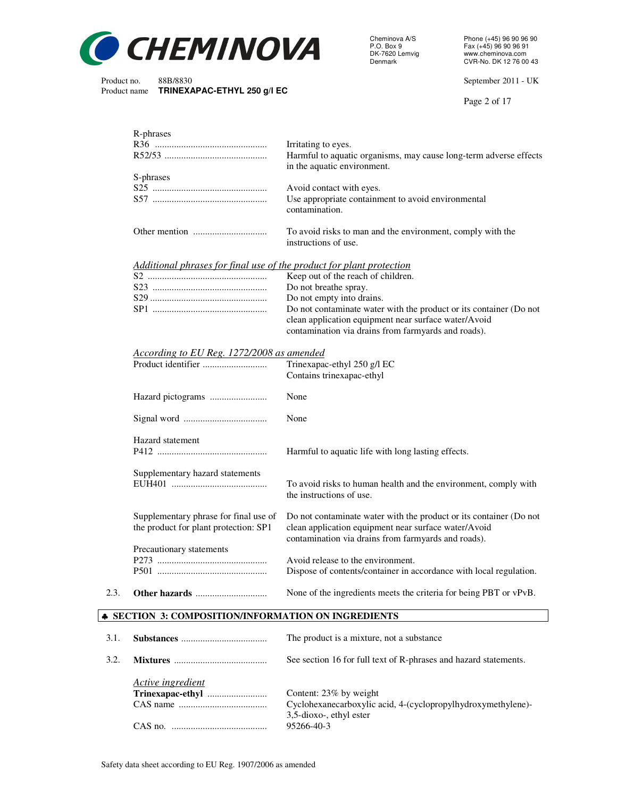

Cheminova A/S Phone (+45) 96 90 96 90 P.O. Box 9 Fax (+45) 96 90 96 91 DK-7620 Lemvig www.cheminova.com<br>Denmark CVR-No. DK 12 76 00

Product no. 88B/8830<br>
Product name **TRINEXAPAC-ETHYL 250 q/l EC** extending the state of the September 2011 - UK

Page 2 of 17

| R-phrases                                                            |                                                                                                  |
|----------------------------------------------------------------------|--------------------------------------------------------------------------------------------------|
|                                                                      | Irritating to eyes.                                                                              |
|                                                                      | Harmful to aquatic organisms, may cause long-term adverse effects<br>in the aquatic environment. |
| S-phrases                                                            |                                                                                                  |
|                                                                      | Avoid contact with eyes.                                                                         |
|                                                                      | Use appropriate containment to avoid environmental<br>contamination.                             |
|                                                                      | To avoid risks to man and the environment, comply with the<br>instructions of use.               |
| Additional phrases for final use of the product for plant protection |                                                                                                  |
|                                                                      | Keep out of the reach of children.                                                               |
|                                                                      | Do not breathe spray.                                                                            |
| c do                                                                 | Do not ampter into deging                                                                        |

| Do not breathe spray.                                              |
|--------------------------------------------------------------------|
| Do not empty into drains.                                          |
| Do not contaminate water with the product or its container (Do not |
| clean application equipment near surface water/Avoid               |
| contamination via drains from farmyards and roads).                |

#### *According to EU Reg. 1272/2008 as amended*

|      |                                                                                | Trinexapac-ethyl 250 g/l EC<br>Contains trinexapac-ethyl                                                                                                                          |
|------|--------------------------------------------------------------------------------|-----------------------------------------------------------------------------------------------------------------------------------------------------------------------------------|
|      |                                                                                | None                                                                                                                                                                              |
|      |                                                                                | None                                                                                                                                                                              |
|      | Hazard statement                                                               | Harmful to aquatic life with long lasting effects.                                                                                                                                |
|      | Supplementary hazard statements                                                | To avoid risks to human health and the environment, comply with<br>the instructions of use.                                                                                       |
|      | Supplementary phrase for final use of<br>the product for plant protection: SP1 | Do not contaminate water with the product or its container (Do not<br>clean application equipment near surface water/Avoid<br>contamination via drains from farmyards and roads). |
|      | Precautionary statements                                                       | Avoid release to the environment.<br>Dispose of contents/container in accordance with local regulation.                                                                           |
| 2.3. |                                                                                | None of the ingredients meets the criteria for being PBT or vPvB.                                                                                                                 |
|      | • SECTION 3: COMPOSITION/INFORMATION ON INGREDIENTS                            |                                                                                                                                                                                   |

# 3.1. **Substances** .................................... The product is a mixture, not a substance 3.2. **Mixtures** ....................................... See section 16 for full text of R-phrases and hazard statements. *Active ingredient* **Trinexapac-ethyl** ......................... Content: 23% by weight Cyclohexanecarboxylic acid, 4-(cyclopropylhydroxymethylene)-3,5-dioxo-, ethyl ester CAS no. ........................................ 95266-40-3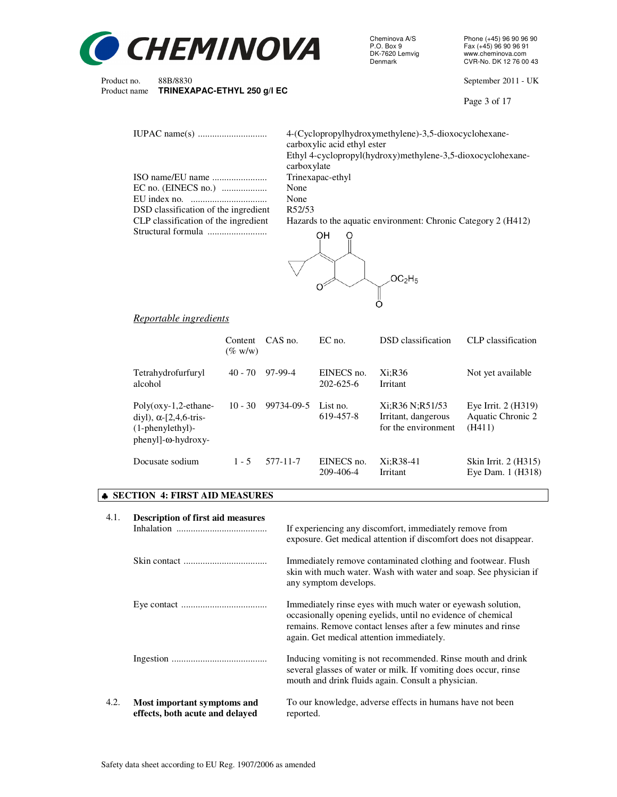

Cheminova A/S Phone (+45) 96 90 96 90 P.O. Box 9 Fax (+45) 96 90 96 91 DK-7620 Lemvig www.cheminova.com

Product no. 88B/8830 September 2011 - UK

Page 3 of 17

|                                         | 4-(Cyclopropylhydroxymethylene)-3,5-dioxocyclohexane-<br>carboxylic acid ethyl ester<br>Ethyl 4-cyclopropyl(hydroxy)methylene-3,5-dioxocyclohexane-<br>carboxylate |
|-----------------------------------------|--------------------------------------------------------------------------------------------------------------------------------------------------------------------|
|                                         | Trinexapac-ethyl                                                                                                                                                   |
|                                         | None                                                                                                                                                               |
| EU index no. $\ldots$ $\ldots$ $\ldots$ | None                                                                                                                                                               |
|                                         | R52/53                                                                                                                                                             |
| DSD classification of the ingredient    |                                                                                                                                                                    |
| CLP classification of the ingredient    | Hazards to the aquatic environment: Chronic Category 2 (H412)                                                                                                      |
|                                         | OН                                                                                                                                                                 |
|                                         | .OC <sub>2</sub> H5                                                                                                                                                |

# *Reportable ingredients*

|                                                                                                                     | Content<br>$(\%$ w/w) | CAS no.    | $EC$ no.                      | DSD classification                                            | CLP classification                                   |
|---------------------------------------------------------------------------------------------------------------------|-----------------------|------------|-------------------------------|---------------------------------------------------------------|------------------------------------------------------|
| Tetrahydrofurfuryl<br>alcohol                                                                                       | $40 - 70$             | 97-99-4    | EINECS no.<br>$202 - 625 - 6$ | Xi:R36<br>Irritant                                            | Not yet available                                    |
| $Poly(oxy-1,2-ethane-$<br>diyl), $\alpha$ -[2,4,6-tris-<br>$(1$ -phenylethyl $)$ -<br>$pheny$ ]- $\omega$ -hydroxy- | $10 - 30$             | 99734-09-5 | List no.<br>619-457-8         | Xi:R36 N:R51/53<br>Irritant, dangerous<br>for the environment | Eye Irrit. $2$ (H319)<br>Aquatic Chronic 2<br>(H411) |
| Docusate sodium                                                                                                     | $1 - 5$               | 577-11-7   | EINECS no.<br>209-406-4       | Xi:R38-41<br><b>Irritant</b>                                  | Skin Irrit. 2 (H315)<br>Eye Dam. 1 (H318)            |

 $\mathbb{I}$ 

# ♣ **SECTION 4: FIRST AID MEASURES**

| 4.1. | <b>Description of first aid measures</b>                       | If experiencing any discomfort, immediately remove from<br>exposure. Get medical attention if discomfort does not disappear.                                                                                                            |  |  |
|------|----------------------------------------------------------------|-----------------------------------------------------------------------------------------------------------------------------------------------------------------------------------------------------------------------------------------|--|--|
|      |                                                                | Immediately remove contaminated clothing and footwear. Flush<br>skin with much water. Wash with water and soap. See physician if<br>any symptom develops.                                                                               |  |  |
|      |                                                                | Immediately rinse eyes with much water or eyewash solution,<br>occasionally opening eyelids, until no evidence of chemical<br>remains. Remove contact lenses after a few minutes and rinse<br>again. Get medical attention immediately. |  |  |
|      |                                                                | Inducing vomiting is not recommended. Rinse mouth and drink<br>several glasses of water or milk. If vomiting does occur, rinse<br>mouth and drink fluids again. Consult a physician.                                                    |  |  |
| 4.2. | Most important symptoms and<br>effects, both acute and delayed | To our knowledge, adverse effects in humans have not been<br>reported.                                                                                                                                                                  |  |  |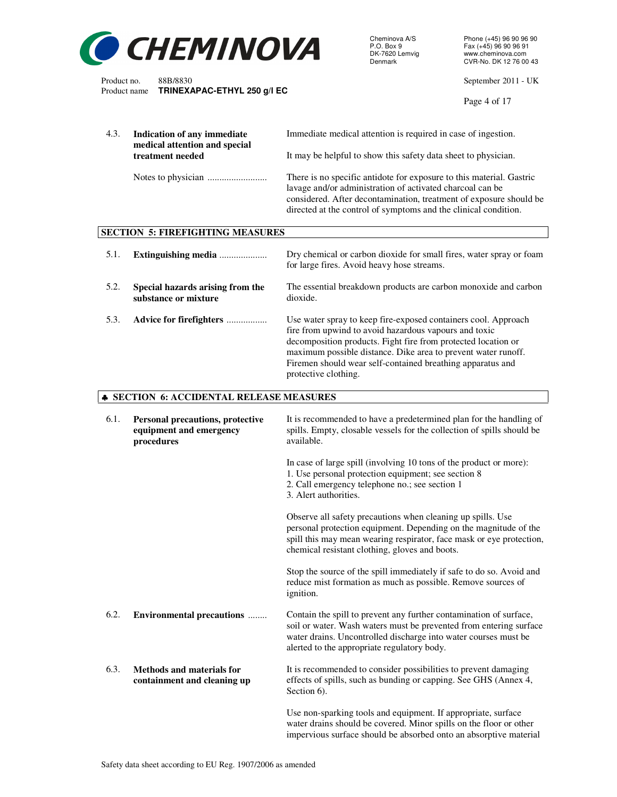

Cheminova A/S Phone (+45) 96 90 96 90 P.O. Box 9 Fax (+45) 96 90 96 91 DK-7620 Lemvig www.cheminova.com

Product no. 88B/8830 September 2011 - UK

Page 4 of 17

| 4.3. | Indication of any immediate<br>medical attention and special              | Immediate medical attention is required in case of ingestion.                                                                                                                                                                                                                                                                                   |
|------|---------------------------------------------------------------------------|-------------------------------------------------------------------------------------------------------------------------------------------------------------------------------------------------------------------------------------------------------------------------------------------------------------------------------------------------|
|      | treatment needed                                                          | It may be helpful to show this safety data sheet to physician.                                                                                                                                                                                                                                                                                  |
|      |                                                                           | There is no specific antidote for exposure to this material. Gastric<br>lavage and/or administration of activated charcoal can be<br>considered. After decontamination, treatment of exposure should be<br>directed at the control of symptoms and the clinical condition.                                                                      |
|      | <b>SECTION 5: FIREFIGHTING MEASURES</b>                                   |                                                                                                                                                                                                                                                                                                                                                 |
| 5.1. | Extinguishing media                                                       | Dry chemical or carbon dioxide for small fires, water spray or foam<br>for large fires. Avoid heavy hose streams.                                                                                                                                                                                                                               |
| 5.2. | Special hazards arising from the<br>substance or mixture                  | The essential breakdown products are carbon monoxide and carbon<br>dioxide.                                                                                                                                                                                                                                                                     |
| 5.3. | Advice for firefighters                                                   | Use water spray to keep fire-exposed containers cool. Approach<br>fire from upwind to avoid hazardous vapours and toxic<br>decomposition products. Fight fire from protected location or<br>maximum possible distance. Dike area to prevent water runoff.<br>Firemen should wear self-contained breathing apparatus and<br>protective clothing. |
|      | <b><math>\triangle</math> SECTION 6: ACCIDENTAL RELEASE MEASURES</b>      |                                                                                                                                                                                                                                                                                                                                                 |
| 6.1. | Personal precautions, protective<br>equipment and emergency<br>procedures | It is recommended to have a predetermined plan for the handling of<br>spills. Empty, closable vessels for the collection of spills should be<br>available.                                                                                                                                                                                      |
|      |                                                                           | In case of large spill (involving 10 tons of the product or more):<br>1. Use personal protection equipment; see section 8<br>2. Call emergency telephone no.; see section 1<br>3. Alert authorities.                                                                                                                                            |
|      |                                                                           | Observe all safety precautions when cleaning up spills. Use<br>personal protection equipment. Depending on the magnitude of the<br>spill this may mean wearing respirator, face mask or eye protection,<br>chemical resistant clothing, gloves and boots.                                                                                       |
|      |                                                                           | Stop the source of the spill immediately if safe to do so. Avoid and<br>reduce mist formation as much as possible. Remove sources of<br>ignition.                                                                                                                                                                                               |
| 6.2. | <b>Environmental precautions </b>                                         | Contain the spill to prevent any further contamination of surface,<br>soil or water. Wash waters must be prevented from entering surface<br>water drains. Uncontrolled discharge into water courses must be<br>alerted to the appropriate regulatory body.                                                                                      |
| 6.3. | <b>Methods and materials for</b><br>containment and cleaning up           | It is recommended to consider possibilities to prevent damaging<br>effects of spills, such as bunding or capping. See GHS (Annex 4,<br>Section 6).                                                                                                                                                                                              |
|      |                                                                           | Use non-sparking tools and equipment. If appropriate, surface<br>water drains should be covered. Minor spills on the floor or other<br>impervious surface should be absorbed onto an absorptive material                                                                                                                                        |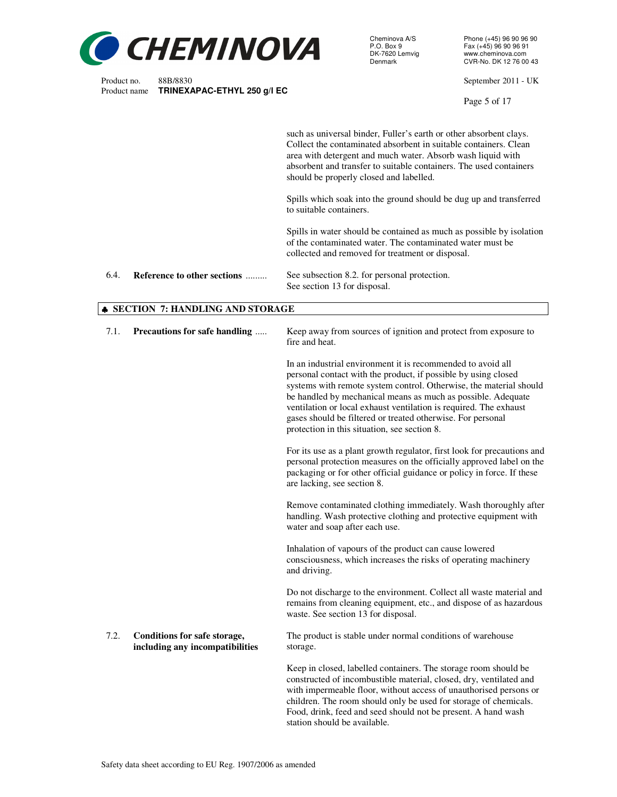

Cheminova A/S Phone (+45) 96 90 96 90 P.O. Box 9 Fax (+45) 96 90 96 91 DK-7620 Lemvig www.cheminova.com

Product no. 88B/8830 September 2011 - UK

Page 5 of 17

|      |                             | such as universal binder, Fuller's earth or other absorbent clays.<br>Collect the contaminated absorbent in suitable containers. Clean<br>area with detergent and much water. Absorb wash liquid with<br>absorbent and transfer to suitable containers. The used containers<br>should be properly closed and labelled. |
|------|-----------------------------|------------------------------------------------------------------------------------------------------------------------------------------------------------------------------------------------------------------------------------------------------------------------------------------------------------------------|
|      |                             | Spills which soak into the ground should be dug up and transferred<br>to suitable containers.                                                                                                                                                                                                                          |
|      |                             | Spills in water should be contained as much as possible by isolation<br>of the contaminated water. The contaminated water must be<br>collected and removed for treatment or disposal.                                                                                                                                  |
| 6.4. | Reference to other sections | See subsection 8.2. for personal protection.<br>See section 13 for disposal.                                                                                                                                                                                                                                           |

#### ♣ **SECTION 7: HANDLING AND STORAGE**

| 7.1. | Precautions for safe handling                                   | Keep away from sources of ignition and protect from exposure to<br>fire and heat.                                                                                                                                                                                                                                                                                                                                                                       |  |  |
|------|-----------------------------------------------------------------|---------------------------------------------------------------------------------------------------------------------------------------------------------------------------------------------------------------------------------------------------------------------------------------------------------------------------------------------------------------------------------------------------------------------------------------------------------|--|--|
|      |                                                                 | In an industrial environment it is recommended to avoid all<br>personal contact with the product, if possible by using closed<br>systems with remote system control. Otherwise, the material should<br>be handled by mechanical means as much as possible. Adequate<br>ventilation or local exhaust ventilation is required. The exhaust<br>gases should be filtered or treated otherwise. For personal<br>protection in this situation, see section 8. |  |  |
|      |                                                                 | For its use as a plant growth regulator, first look for precautions and<br>personal protection measures on the officially approved label on the<br>packaging or for other official guidance or policy in force. If these<br>are lacking, see section 8.                                                                                                                                                                                                 |  |  |
|      |                                                                 | Remove contaminated clothing immediately. Wash thoroughly after<br>handling. Wash protective clothing and protective equipment with<br>water and soap after each use.                                                                                                                                                                                                                                                                                   |  |  |
|      |                                                                 | Inhalation of vapours of the product can cause lowered<br>consciousness, which increases the risks of operating machinery<br>and driving.                                                                                                                                                                                                                                                                                                               |  |  |
|      |                                                                 | Do not discharge to the environment. Collect all waste material and<br>remains from cleaning equipment, etc., and dispose of as hazardous<br>waste. See section 13 for disposal.                                                                                                                                                                                                                                                                        |  |  |
| 7.2. | Conditions for safe storage,<br>including any incompatibilities | The product is stable under normal conditions of warehouse<br>storage.                                                                                                                                                                                                                                                                                                                                                                                  |  |  |
|      |                                                                 | Keep in closed, labelled containers. The storage room should be<br>constructed of incombustible material, closed, dry, ventilated and<br>with impermeable floor, without access of unauthorised persons or<br>children. The room should only be used for storage of chemicals.<br>Food, drink, feed and seed should not be present. A hand wash<br>station should be available.                                                                         |  |  |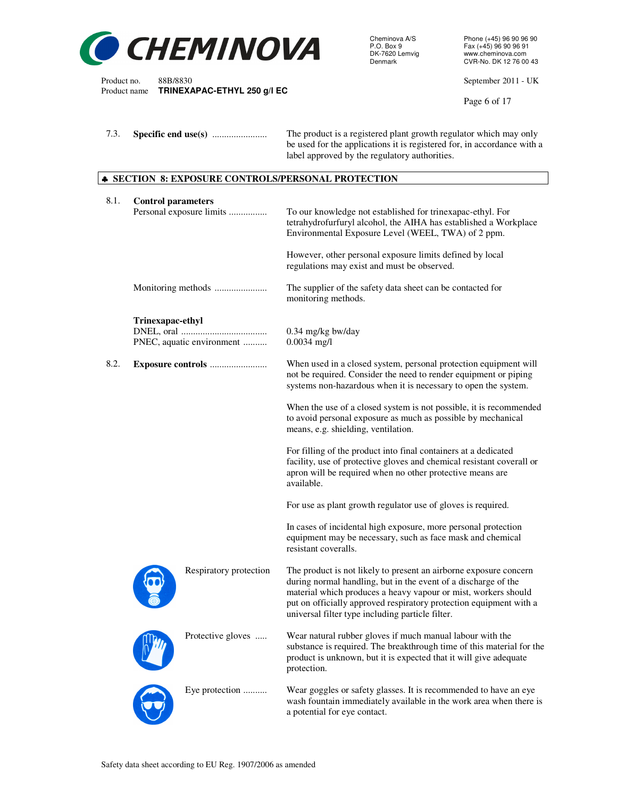

be used for the applications it is registered for, in accordance with a

label approved by the regulatory authorities.

Cheminova A/S Phone (+45) 96 90 96 90 P.O. Box 9 Fax (+45) 96 90 96 91 DK-7620 Lemvig<br>DK-7620 Lemvig www.cheminova.com<br>Denmark CVR-No. DK 12 76 00

Product no. 88B/8830 September 2011 - UK<br>Product name **TRINEXAPAC-ETHYL 250 g/l EC** 

Page 6 of 17

| 8.1. | <b>Control parameters</b> | Personal exposure limits  | To our knowledge not established for trinexapac-ethyl. For<br>tetrahydrofurfuryl alcohol, the AIHA has established a Workplace<br>Environmental Exposure Level (WEEL, TWA) of 2 ppm.                                                                                                                                            |
|------|---------------------------|---------------------------|---------------------------------------------------------------------------------------------------------------------------------------------------------------------------------------------------------------------------------------------------------------------------------------------------------------------------------|
|      |                           |                           | However, other personal exposure limits defined by local<br>regulations may exist and must be observed.                                                                                                                                                                                                                         |
|      |                           |                           | The supplier of the safety data sheet can be contacted for<br>monitoring methods.                                                                                                                                                                                                                                               |
|      | Trinexapac-ethyl          | PNEC, aquatic environment | $0.34$ mg/kg bw/day<br>$0.0034$ mg/l                                                                                                                                                                                                                                                                                            |
| 8.2. |                           |                           | When used in a closed system, personal protection equipment will<br>not be required. Consider the need to render equipment or piping<br>systems non-hazardous when it is necessary to open the system.                                                                                                                          |
|      |                           |                           | When the use of a closed system is not possible, it is recommended<br>to avoid personal exposure as much as possible by mechanical<br>means, e.g. shielding, ventilation.                                                                                                                                                       |
|      |                           |                           | For filling of the product into final containers at a dedicated<br>facility, use of protective gloves and chemical resistant coverall or<br>apron will be required when no other protective means are<br>available.                                                                                                             |
|      |                           |                           | For use as plant growth regulator use of gloves is required.                                                                                                                                                                                                                                                                    |
|      |                           |                           | In cases of incidental high exposure, more personal protection<br>equipment may be necessary, such as face mask and chemical<br>resistant coveralls.                                                                                                                                                                            |
|      |                           | Respiratory protection    | The product is not likely to present an airborne exposure concern<br>during normal handling, but in the event of a discharge of the<br>material which produces a heavy vapour or mist, workers should<br>put on officially approved respiratory protection equipment with a<br>universal filter type including particle filter. |
|      |                           | Protective gloves         | Wear natural rubber gloves if much manual labour with the<br>substance is required. The breakthrough time of this material for the<br>product is unknown, but it is expected that it will give adequate<br>protection.                                                                                                          |
|      |                           | Eye protection            | Wear goggles or safety glasses. It is recommended to have an eye<br>wash fountain immediately available in the work area when there is<br>a potential for eye contact.                                                                                                                                                          |

7.3. **Specific end use(s)** ....................... The product is a registered plant growth regulator which may only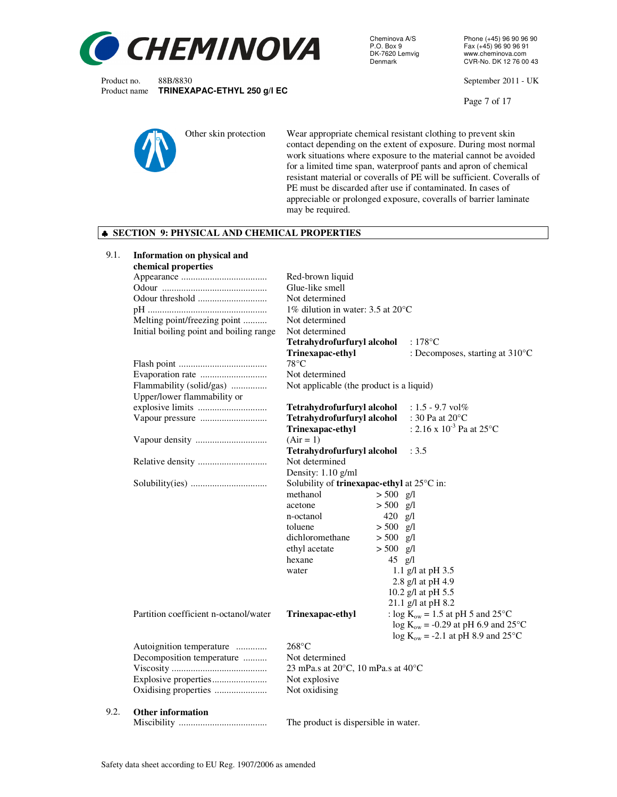

Cheminova A/S Phone (+45) 96 90 96 90<br>P.O. Box 9 Fax (+45) 96 90 96 91 P.O. Box 9 Fax (+45) 96 90 96 91 DK-7620 Lemvig www.cheminova.com<br>Denmark CVR-No. DK 12 76 00

Product no. 88B/8830<br>
Product name **TRINEXAPAC-ETHYL 250 q/l EC** extending the state of the September 2011 - UK

Page 7 of 17



Other skin protection Wear appropriate chemical resistant clothing to prevent skin contact depending on the extent of exposure. During most normal work situations where exposure to the material cannot be avoided for a limited time span, waterproof pants and apron of chemical resistant material or coveralls of PE will be sufficient. Coveralls of PE must be discarded after use if contaminated. In cases of appreciable or prolonged exposure, coveralls of barrier laminate may be required.

#### ♣ **SECTION 9: PHYSICAL AND CHEMICAL PROPERTIES**

| 9.1. | <b>Information on physical and</b>      |                                               |             |                                           |  |  |
|------|-----------------------------------------|-----------------------------------------------|-------------|-------------------------------------------|--|--|
|      | chemical properties                     |                                               |             |                                           |  |  |
|      |                                         | Red-brown liquid                              |             |                                           |  |  |
|      |                                         | Glue-like smell                               |             |                                           |  |  |
|      |                                         | Not determined                                |             |                                           |  |  |
|      |                                         | 1% dilution in water: $3.5$ at $20^{\circ}$ C |             |                                           |  |  |
|      | Melting point/freezing point            | Not determined                                |             |                                           |  |  |
|      | Initial boiling point and boiling range | Not determined                                |             |                                           |  |  |
|      |                                         | Tetrahydrofurfuryl alcohol                    |             | $:178^{\circ}$ C                          |  |  |
|      |                                         | Trinexapac-ethyl                              |             | : Decomposes, starting at $310^{\circ}$ C |  |  |
|      |                                         | $78^{\circ}$ C                                |             |                                           |  |  |
|      |                                         | Not determined                                |             |                                           |  |  |
|      |                                         |                                               |             |                                           |  |  |
|      | Flammability (solid/gas)                | Not applicable (the product is a liquid)      |             |                                           |  |  |
|      | Upper/lower flammability or             |                                               |             |                                           |  |  |
|      |                                         | Tetrahydrofurfuryl alcohol                    |             | : $1.5 - 9.7$ vol%                        |  |  |
|      |                                         | Tetrahydrofurfuryl alcohol                    |             | : 30 Pa at $20^{\circ}\textrm{C}$         |  |  |
|      |                                         | Trinexapac-ethyl                              |             | : 2.16 x $10^{-3}$ Pa at 25°C             |  |  |
|      | Vapour density                          | $(Air = 1)$                                   |             |                                           |  |  |
|      |                                         | Tetrahydrofurfuryl alcohol                    |             | : 3.5                                     |  |  |
|      |                                         | Not determined                                |             |                                           |  |  |
|      |                                         | Density: 1.10 g/ml                            |             |                                           |  |  |
|      |                                         | Solubility of trinexapac-ethyl at 25°C in:    |             |                                           |  |  |
|      |                                         | methanol                                      | $> 500$ g/l |                                           |  |  |
|      |                                         | acetone                                       | $> 500$ g/l |                                           |  |  |
|      |                                         | n-octanol                                     | $420$ g/l   |                                           |  |  |
|      |                                         | toluene                                       | $> 500$ g/l |                                           |  |  |
|      |                                         | dichloromethane                               | $> 500$ g/l |                                           |  |  |
|      |                                         | ethyl acetate                                 | $> 500$ g/l |                                           |  |  |
|      |                                         | hexane                                        | $45$ g/l    |                                           |  |  |
|      |                                         | water                                         |             | 1.1 g/l at pH 3.5                         |  |  |
|      |                                         |                                               |             | 2.8 g/l at pH 4.9                         |  |  |
|      |                                         |                                               |             | 10.2 g/l at pH 5.5                        |  |  |
|      |                                         |                                               |             | 21.1 g/l at pH 8.2                        |  |  |
|      | Partition coefficient n-octanol/water   | Trinexapac-ethyl                              |             | : log $K_{ow} = 1.5$ at pH 5 and 25°C     |  |  |
|      |                                         |                                               |             | $\log K_{ow}$ = -0.29 at pH 6.9 and 25°C  |  |  |
|      |                                         |                                               |             | $log Kow = -2.1$ at pH 8.9 and 25°C       |  |  |
|      | Autoignition temperature                | $268^{\circ}$ C                               |             |                                           |  |  |
|      | Decomposition temperature               | Not determined                                |             |                                           |  |  |
|      |                                         | 23 mPa.s at 20°C, 10 mPa.s at 40°C            |             |                                           |  |  |
|      |                                         | Not explosive                                 |             |                                           |  |  |
|      |                                         | Not oxidising                                 |             |                                           |  |  |
|      |                                         |                                               |             |                                           |  |  |
| 9.2. |                                         |                                               |             |                                           |  |  |
|      | <b>Other information</b>                |                                               |             |                                           |  |  |
|      |                                         | The product is dispersible in water.          |             |                                           |  |  |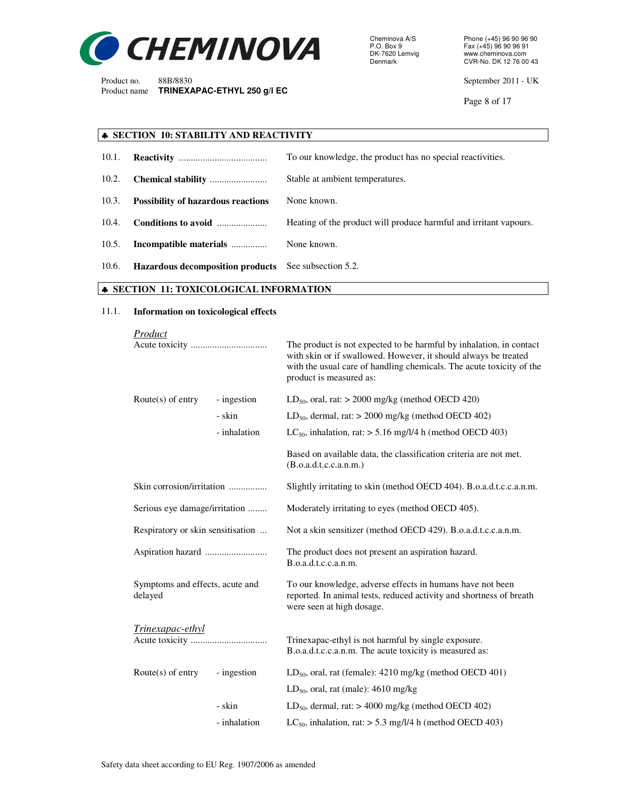

Cheminova A/S Phone (+45) 96 90 96 90 P.O. Box 9 Fax (+45) 96 90 96 91 DK-7620 Lemvig www.cheminova.com<br>Denmark CVR-No. DK 12 76 00

Product no. 88B/8830 September 2011 - UK

Page 8 of 17

# ♣ **SECTION 10: STABILITY AND REACTIVITY**

| 10.1. |                                                             | To our knowledge, the product has no special reactivities.        |
|-------|-------------------------------------------------------------|-------------------------------------------------------------------|
| 10.2. |                                                             | Stable at ambient temperatures.                                   |
| 10.3. | <b>Possibility of hazardous reactions</b>                   | None known.                                                       |
| 10.4. | Conditions to avoid                                         | Heating of the product will produce harmful and irritant vapours. |
| 10.5. | Incompatible materials                                      | None known.                                                       |
| 10.6. | <b>Hazardous decomposition products</b> See subsection 5.2. |                                                                   |

# ♣ **SECTION 11: TOXICOLOGICAL INFORMATION**

#### 11.1. **Information on toxicological effects**

| Product                                    |              |                                                                                                                                                                                                                                           |  |
|--------------------------------------------|--------------|-------------------------------------------------------------------------------------------------------------------------------------------------------------------------------------------------------------------------------------------|--|
|                                            |              | The product is not expected to be harmful by inhalation, in contact<br>with skin or if swallowed. However, it should always be treated<br>with the usual care of handling chemicals. The acute toxicity of the<br>product is measured as: |  |
| Route $(s)$ of entry                       | - ingestion  | $LD_{50}$ , oral, rat: > 2000 mg/kg (method OECD 420)                                                                                                                                                                                     |  |
|                                            | - skin       | $LD_{50}$ , dermal, rat: $> 2000$ mg/kg (method OECD 402)                                                                                                                                                                                 |  |
|                                            | - inhalation | LC <sub>50</sub> , inhalation, rat: $> 5.16$ mg/l/4 h (method OECD 403)                                                                                                                                                                   |  |
|                                            |              | Based on available data, the classification criteria are not met.<br>(B.o.a.d.t.c.c.a.n.m.)                                                                                                                                               |  |
| Skin corrosion/irritation                  |              | Slightly irritating to skin (method OECD 404). B.o.a.d.t.c.c.a.n.m.                                                                                                                                                                       |  |
| Serious eye damage/irritation              |              | Moderately irritating to eyes (method OECD 405).                                                                                                                                                                                          |  |
| Respiratory or skin sensitisation          |              | Not a skin sensitizer (method OECD 429). B.o.a.d.t.c.c.a.n.m.                                                                                                                                                                             |  |
|                                            |              | The product does not present an aspiration hazard.<br>B.o.a.d.t.c.c.a.n.m.                                                                                                                                                                |  |
| Symptoms and effects, acute and<br>delayed |              | To our knowledge, adverse effects in humans have not been<br>reported. In animal tests, reduced activity and shortness of breath<br>were seen at high dosage.                                                                             |  |
| Trinexapac-ethyl                           |              | Trinexapac-ethyl is not harmful by single exposure.<br>B.o.a.d.t.c.c.a.n.m. The acute toxicity is measured as:                                                                                                                            |  |
| Route $(s)$ of entry                       | - ingestion  | $LD_{50}$ , oral, rat (female): 4210 mg/kg (method OECD 401)                                                                                                                                                                              |  |
|                                            |              | $LD_{50}$ , oral, rat (male): 4610 mg/kg                                                                                                                                                                                                  |  |
|                                            | - skin       | $LD_{50}$ , dermal, rat: $> 4000$ mg/kg (method OECD 402)                                                                                                                                                                                 |  |
|                                            | - inhalation | LC <sub>50</sub> , inhalation, rat: $>$ 5.3 mg/l/4 h (method OECD 403)                                                                                                                                                                    |  |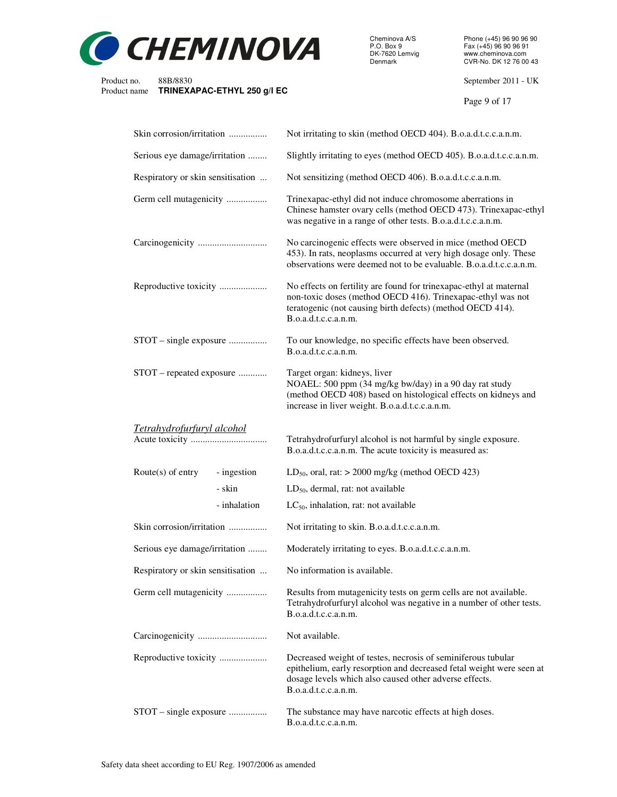

Cheminova A/S Phone (+45) 96 90 96 90 P.O. Box 9 Fax (+45) 96 90 96 91 DK-7620 Lemvig www.cheminova.com

Product no. 88B/8830 September 2011 - UK

Page 9 of 17

| Skin corrosion/irritation           | Not irritating to skin (method OECD 404). B.o.a.d.t.c.c.a.n.m.                                                                                                                                                          |
|-------------------------------------|-------------------------------------------------------------------------------------------------------------------------------------------------------------------------------------------------------------------------|
| Serious eye damage/irritation       | Slightly irritating to eyes (method OECD 405). B.o.a.d.t.c.c.a.n.m.                                                                                                                                                     |
| Respiratory or skin sensitisation   | Not sensitizing (method OECD 406). B.o.a.d.t.c.c.a.n.m.                                                                                                                                                                 |
| Germ cell mutagenicity              | Trinexapac-ethyl did not induce chromosome aberrations in<br>Chinese hamster ovary cells (method OECD 473). Trinexapac-ethyl<br>was negative in a range of other tests. B.o.a.d.t.c.c.a.n.m.                            |
|                                     | No carcinogenic effects were observed in mice (method OECD<br>453). In rats, neoplasms occurred at very high dosage only. These<br>observations were deemed not to be evaluable. B.o.a.d.t.c.c.a.n.m.                   |
| Reproductive toxicity               | No effects on fertility are found for trinexapac-ethyl at maternal<br>non-toxic doses (method OECD 416). Trinexapac-ethyl was not<br>teratogenic (not causing birth defects) (method OECD 414).<br>B.o.a.d.t.c.c.a.n.m. |
| STOT – single exposure              | To our knowledge, no specific effects have been observed.<br>B.o.a.d.t.c.c.a.n.m.                                                                                                                                       |
| STOT – repeated exposure            | Target organ: kidneys, liver<br>NOAEL: 500 ppm (34 mg/kg bw/day) in a 90 day rat study<br>(method OECD 408) based on histological effects on kidneys and<br>increase in liver weight. B.o.a.d.t.c.c.a.n.m.              |
| <u>Tetrahydrofurfuryl alcohol</u>   | Tetrahydrofurfuryl alcohol is not harmful by single exposure.<br>B.o.a.d.t.c.c.a.n.m. The acute toxicity is measured as:                                                                                                |
| Route $(s)$ of entry<br>- ingestion | $LD_{50}$ , oral, rat: > 2000 mg/kg (method OECD 423)                                                                                                                                                                   |
| - skin                              | $LD_{50}$ , dermal, rat: not available                                                                                                                                                                                  |
| - inhalation                        | $LC_{50}$ , inhalation, rat: not available                                                                                                                                                                              |
| Skin corrosion/irritation           | Not irritating to skin. B.o.a.d.t.c.c.a.n.m.                                                                                                                                                                            |
| Serious eye damage/irritation       | Moderately irritating to eyes. B.o.a.d.t.c.c.a.n.m.                                                                                                                                                                     |
| Respiratory or skin sensitisation   | No information is available.                                                                                                                                                                                            |
| Germ cell mutagenicity              | Results from mutagenicity tests on germ cells are not available.<br>Tetrahydrofurfuryl alcohol was negative in a number of other tests.<br>B.o.a.d.t.c.c.a.n.m.                                                         |
|                                     | Not available.                                                                                                                                                                                                          |
| Reproductive toxicity               | Decreased weight of testes, necrosis of seminiferous tubular<br>epithelium, early resorption and decreased fetal weight were seen at<br>dosage levels which also caused other adverse effects.<br>B.o.a.d.t.c.c.a.n.m.  |
| STOT – single exposure              | The substance may have narcotic effects at high doses.<br>B.o.a.d.t.c.c.a.n.m.                                                                                                                                          |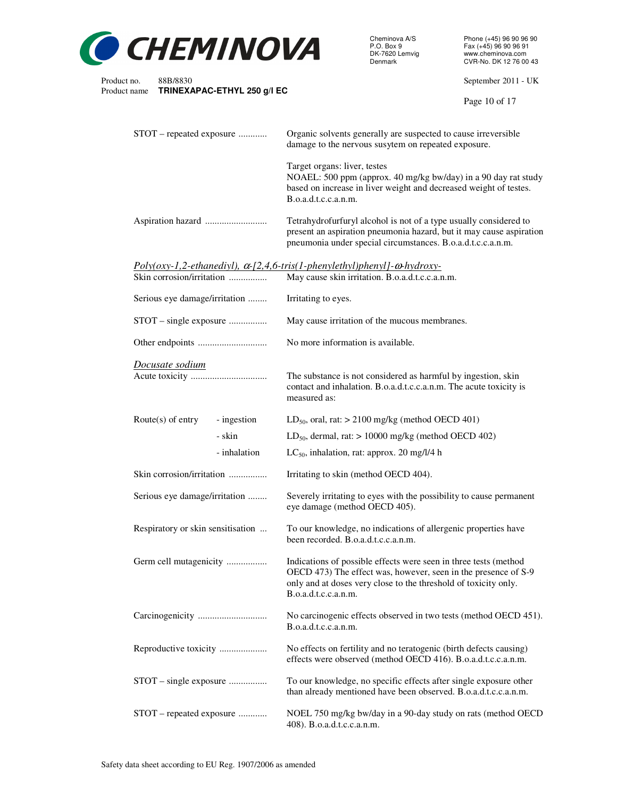

Cheminova A/S Phone (+45) 96 90 96 90 P.O. Box 9 Fax (+45) 96 90 96 91 DK-7620 Lemvig www.cheminova.com

Product no. 88B/8830 September 2011 - UK

Page 10 of 17

| STOT – repeated exposure            | Organic solvents generally are suspected to cause irreversible<br>damage to the nervous susytem on repeated exposure.                                                                                                         |
|-------------------------------------|-------------------------------------------------------------------------------------------------------------------------------------------------------------------------------------------------------------------------------|
|                                     | Target organs: liver, testes<br>NOAEL: 500 ppm (approx. 40 mg/kg bw/day) in a 90 day rat study<br>based on increase in liver weight and decreased weight of testes.<br>B.o.a.d.t.c.c.a.n.m.                                   |
|                                     | Tetrahydrofurfuryl alcohol is not of a type usually considered to<br>present an aspiration pneumonia hazard, but it may cause aspiration<br>pneumonia under special circumstances. B.o.a.d.t.c.c.a.n.m.                       |
| Skin corrosion/irritation           | $Poly(oxy-1, 2-ethanediyl), \alpha-[2, 4, 6-tris(1-phenylethyl)phenyl]-\omega-hydroxy-$<br>May cause skin irritation. B.o.a.d.t.c.c.a.n.m.                                                                                    |
| Serious eye damage/irritation       | Irritating to eyes.                                                                                                                                                                                                           |
| STOT – single exposure              | May cause irritation of the mucous membranes.                                                                                                                                                                                 |
|                                     | No more information is available.                                                                                                                                                                                             |
| Docusate sodium                     | The substance is not considered as harmful by ingestion, skin<br>contact and inhalation. B.o.a.d.t.c.c.a.n.m. The acute toxicity is<br>measured as:                                                                           |
| Route $(s)$ of entry<br>- ingestion | $LD_{50}$ , oral, rat: $> 2100$ mg/kg (method OECD 401)                                                                                                                                                                       |
| - skin                              | $LD_{50}$ , dermal, rat: $> 10000$ mg/kg (method OECD 402)                                                                                                                                                                    |
| - inhalation                        | $LC_{50}$ , inhalation, rat: approx. 20 mg/l/4 h                                                                                                                                                                              |
| Skin corrosion/irritation           | Irritating to skin (method OECD 404).                                                                                                                                                                                         |
| Serious eye damage/irritation       | Severely irritating to eyes with the possibility to cause permanent<br>eye damage (method OECD 405).                                                                                                                          |
| Respiratory or skin sensitisation   | To our knowledge, no indications of allergenic properties have<br>been recorded. B.o.a.d.t.c.c.a.n.m.                                                                                                                         |
| Germ cell mutagenicity              | Indications of possible effects were seen in three tests (method<br>OECD 473) The effect was, however, seen in the presence of S-9<br>only and at doses very close to the threshold of toxicity only.<br>B.o.a.d.t.c.c.a.n.m. |
|                                     | No carcinogenic effects observed in two tests (method OECD 451).<br>B.o.a.d.t.c.c.a.n.m.                                                                                                                                      |
| Reproductive toxicity               | No effects on fertility and no teratogenic (birth defects causing)<br>effects were observed (method OECD 416). B.o.a.d.t.c.c.a.n.m.                                                                                           |
| STOT – single exposure              | To our knowledge, no specific effects after single exposure other<br>than already mentioned have been observed. B.o.a.d.t.c.c.a.n.m.                                                                                          |
| STOT - repeated exposure            | NOEL 750 mg/kg bw/day in a 90-day study on rats (method OECD<br>408). B.o.a.d.t.c.c.a.n.m.                                                                                                                                    |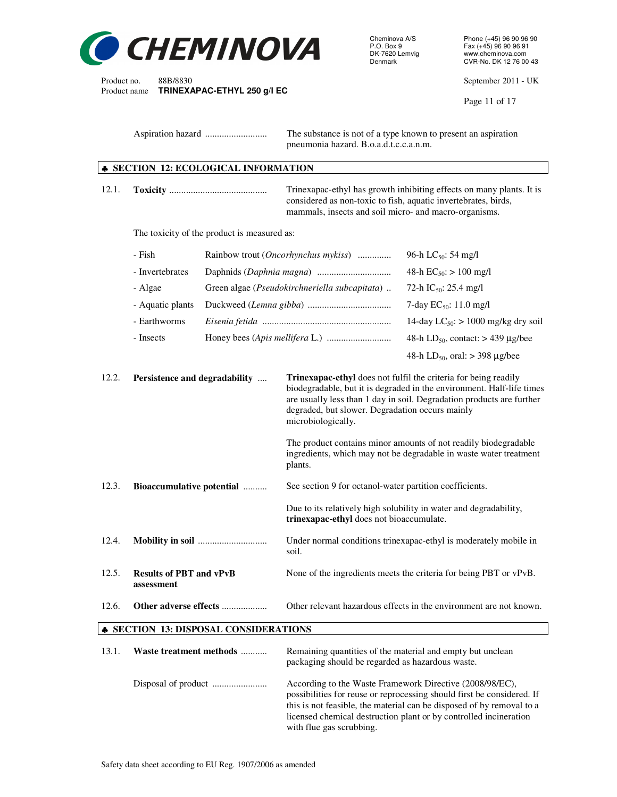

Cheminova A/S Phone (+45) 96 90 96 90 P.O. Box 9 Fax (+45) 96 90 96 91 DK-7620 Lemvig www.cheminova.com<br>Denmark CVR-No. DK 12 76 00

Product no. 88B/8830 September 2011 - UK<br>Product name **TRINEXAPAC-ETHYL 250 q/l EC** 

Page 11 of 17

 Aspiration hazard .......................... The substance is not of a type known to present an aspiration pneumonia hazard. B.o.a.d.t.c.c.a.n.m.

# ♣ **SECTION 12: ECOLOGICAL INFORMATION**

**TRINEXAPAC-ETHYL 250 g/l EC** 

| 12.1.                                        |                                              |                                             | considered as non-toxic to fish, aquatic invertebrates, birds,<br>mammals, insects and soil micro- and macro-organisms.                                                                                                                                                                    | Trinexapac-ethyl has growth inhibiting effects on many plants. It is                                                                                                                                                 |  |
|----------------------------------------------|----------------------------------------------|---------------------------------------------|--------------------------------------------------------------------------------------------------------------------------------------------------------------------------------------------------------------------------------------------------------------------------------------------|----------------------------------------------------------------------------------------------------------------------------------------------------------------------------------------------------------------------|--|
|                                              |                                              | The toxicity of the product is measured as: |                                                                                                                                                                                                                                                                                            |                                                                                                                                                                                                                      |  |
|                                              | - Fish                                       |                                             | Rainbow trout ( <i>Oncorhynchus mykiss</i> )                                                                                                                                                                                                                                               | 96-h LC <sub>50</sub> : 54 mg/l                                                                                                                                                                                      |  |
|                                              | - Invertebrates                              |                                             |                                                                                                                                                                                                                                                                                            | 48-h $EC_{50}$ : > 100 mg/l                                                                                                                                                                                          |  |
|                                              | - Algae                                      |                                             | Green algae (Pseudokirchneriella subcapitata)                                                                                                                                                                                                                                              | 72-h IC <sub>50</sub> : 25.4 mg/l                                                                                                                                                                                    |  |
|                                              | - Aquatic plants                             |                                             |                                                                                                                                                                                                                                                                                            | 7-day $EC_{50}$ : 11.0 mg/l                                                                                                                                                                                          |  |
|                                              | - Earthworms                                 |                                             |                                                                                                                                                                                                                                                                                            | 14-day $LC_{50}$ : > 1000 mg/kg dry soil                                                                                                                                                                             |  |
|                                              | - Insects                                    |                                             |                                                                                                                                                                                                                                                                                            | 48-h LD <sub>50</sub> , contact: $>$ 439 µg/bee                                                                                                                                                                      |  |
|                                              |                                              |                                             |                                                                                                                                                                                                                                                                                            | 48-h LD <sub>50</sub> , oral: $>$ 398 µg/bee                                                                                                                                                                         |  |
| 12.2.                                        | Persistence and degradability                |                                             | Trinexapac-ethyl does not fulfil the criteria for being readily<br>biodegradable, but it is degraded in the environment. Half-life times<br>are usually less than 1 day in soil. Degradation products are further<br>degraded, but slower. Degradation occurs mainly<br>microbiologically. |                                                                                                                                                                                                                      |  |
|                                              |                                              |                                             | plants.                                                                                                                                                                                                                                                                                    | The product contains minor amounts of not readily biodegradable<br>ingredients, which may not be degradable in waste water treatment                                                                                 |  |
| 12.3.                                        | Bioaccumulative potential                    |                                             | See section 9 for octanol-water partition coefficients.                                                                                                                                                                                                                                    |                                                                                                                                                                                                                      |  |
|                                              |                                              |                                             | Due to its relatively high solubility in water and degradability,<br>trinexapac-ethyl does not bioaccumulate.                                                                                                                                                                              |                                                                                                                                                                                                                      |  |
| 12.4.                                        |                                              |                                             | Under normal conditions trinexapac-ethyl is moderately mobile in<br>soil.                                                                                                                                                                                                                  |                                                                                                                                                                                                                      |  |
| 12.5.                                        | <b>Results of PBT and vPvB</b><br>assessment |                                             | None of the ingredients meets the criteria for being PBT or vPvB.                                                                                                                                                                                                                          |                                                                                                                                                                                                                      |  |
| 12.6.                                        | Other adverse effects                        |                                             |                                                                                                                                                                                                                                                                                            | Other relevant hazardous effects in the environment are not known.                                                                                                                                                   |  |
| <b>* SECTION 13: DISPOSAL CONSIDERATIONS</b> |                                              |                                             |                                                                                                                                                                                                                                                                                            |                                                                                                                                                                                                                      |  |
| 13.1.                                        | Waste treatment methods                      |                                             | Remaining quantities of the material and empty but unclean<br>packaging should be regarded as hazardous waste.                                                                                                                                                                             |                                                                                                                                                                                                                      |  |
|                                              |                                              |                                             | According to the Waste Framework Directive (2008/98/EC),                                                                                                                                                                                                                                   | possibilities for reuse or reprocessing should first be considered. If<br>this is not feasible, the material can be disposed of by removal to a<br>licensed chemical destruction plant or by controlled incineration |  |

with flue gas scrubbing.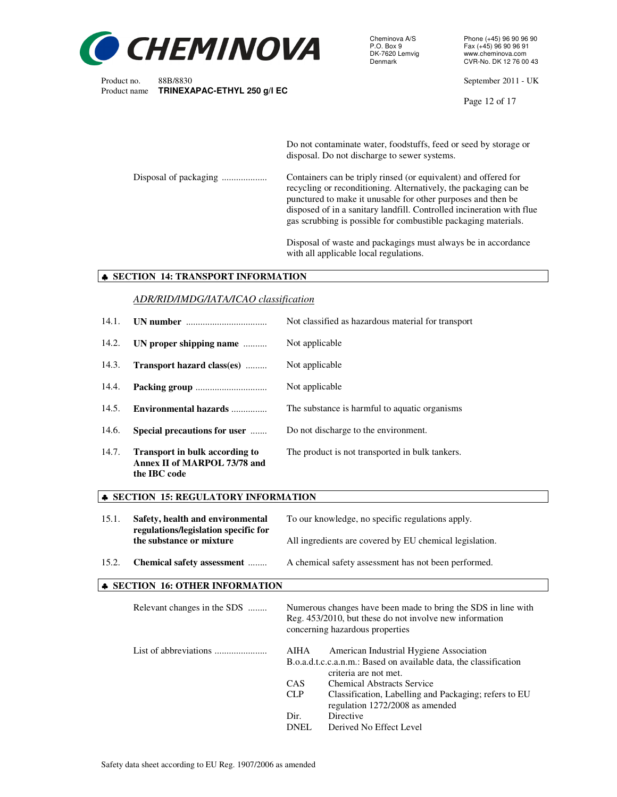

Cheminova A/S Phone (+45) 96 90 96 90<br>P.O. Box 9 Fax (+45) 96 90 96 91 P.O. Box 9 Fax (+45) 96 90 96 91<br>DK-7620 Lemvig www.cheminova.com DK-7620 Lemvig www.cheminova.com<br>Denmark CVR-No. DK 12 76 00

Product no. 88B/8830 September 2011 - UK

Page 12 of 17

Do not contaminate water, foodstuffs, feed or seed by storage or disposal. Do not discharge to sewer systems.

Disposal of packaging .................... Containers can be triply rinsed (or equivalent) and offered for recycling or reconditioning. Alternatively, the packaging can be punctured to make it unusable for other purposes and then be disposed of in a sanitary landfill. Controlled incineration with flue gas scrubbing is possible for combustible packaging materials.

> Disposal of waste and packagings must always be in accordance with all applicable local regulations.

#### ♣ **SECTION 14: TRANSPORT INFORMATION**

#### *ADR/RID/IMDG/IATA/ICAO classification*

| 14.1. |                                                                                       | Not classified as hazardous material for transport |
|-------|---------------------------------------------------------------------------------------|----------------------------------------------------|
| 14.2. | UN proper shipping name                                                               | Not applicable                                     |
| 14.3. | Transport hazard class(es)                                                            | Not applicable                                     |
| 14.4. |                                                                                       | Not applicable                                     |
| 14.5. | Environmental hazards                                                                 | The substance is harmful to aquatic organisms      |
| 14.6. | Special precautions for user                                                          | Do not discharge to the environment.               |
| 14.7. | <b>Transport in bulk according to</b><br>Annex II of MARPOL 73/78 and<br>the IBC code | The product is not transported in bulk tankers.    |

#### ♣ **SECTION 15: REGULATORY INFORMATION**

| 15.1. | Safety, health and environmental<br>regulations/legislation specific for | To our knowledge, no specific regulations apply.        |  |
|-------|--------------------------------------------------------------------------|---------------------------------------------------------|--|
|       | the substance or mixture                                                 | All ingredients are covered by EU chemical legislation. |  |
| 15.2. | Chemical safety assessment                                               | A chemical safety assessment has not been performed.    |  |

#### ♣ **SECTION 16: OTHER INFORMATION**

| Relevant changes in the SDS |             | Numerous changes have been made to bring the SDS in line with<br>Reg. 453/2010, but these do not involve new information<br>concerning hazardous properties                |
|-----------------------------|-------------|----------------------------------------------------------------------------------------------------------------------------------------------------------------------------|
|                             | AIHA<br>CAS | American Industrial Hygiene Association<br>B.o.a.d.t.c.c.a.n.m.: Based on available data, the classification<br>criteria are not met.<br><b>Chemical Abstracts Service</b> |
|                             |             |                                                                                                                                                                            |
|                             | <b>CLP</b>  | Classification, Labelling and Packaging; refers to EU<br>regulation 1272/2008 as amended                                                                                   |
|                             | Dir.        | Directive                                                                                                                                                                  |
|                             | DNEL        | Derived No Effect Level                                                                                                                                                    |
|                             |             |                                                                                                                                                                            |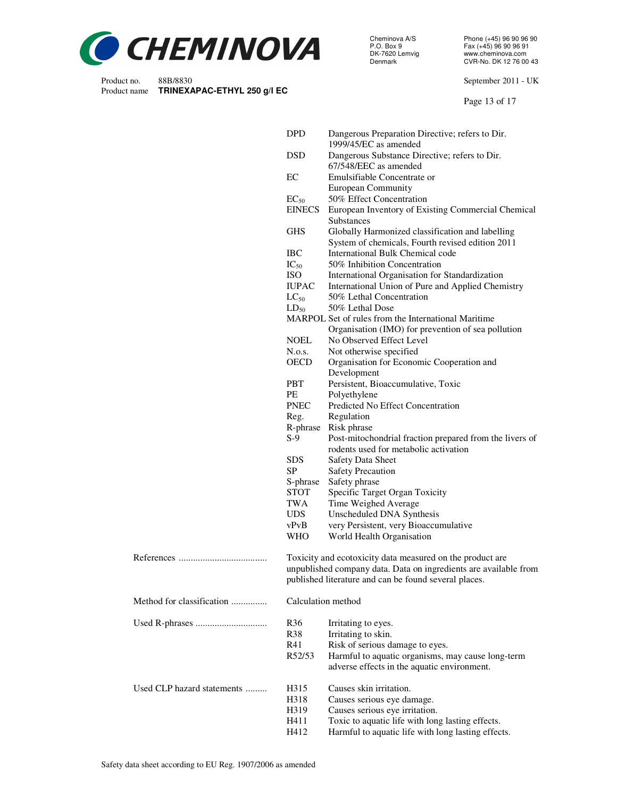

Cheminova A/S Phone (+45) 96 90 96 90 P.O. Box 9 Fax (+45) 96 90 96 91 DK-7620 Lemvig www.cheminova.com

Product no. 88B/8830 September 2011 - UK

Page 13 of 17

|                            | <b>DPD</b>      | Dangerous Preparation Directive; refers to Dir.<br>1999/45/EC as amended           |
|----------------------------|-----------------|------------------------------------------------------------------------------------|
|                            | <b>DSD</b>      | Dangerous Substance Directive; refers to Dir.                                      |
|                            |                 | 67/548/EEC as amended                                                              |
|                            | EC              | Emulsifiable Concentrate or                                                        |
|                            |                 | <b>European Community</b>                                                          |
|                            | $EC_{50}$       | 50% Effect Concentration                                                           |
|                            | <b>EINECS</b>   | European Inventory of Existing Commercial Chemical                                 |
|                            |                 | <b>Substances</b>                                                                  |
|                            | <b>GHS</b>      | Globally Harmonized classification and labelling                                   |
|                            |                 | System of chemicals, Fourth revised edition 2011                                   |
|                            | <b>IBC</b>      | International Bulk Chemical code                                                   |
|                            | $IC_{50}$       | 50% Inhibition Concentration                                                       |
|                            | <b>ISO</b>      | International Organisation for Standardization                                     |
|                            | <b>IUPAC</b>    | International Union of Pure and Applied Chemistry                                  |
|                            | $LC_{50}$       | 50% Lethal Concentration                                                           |
|                            | $LD_{50}$       | 50% Lethal Dose                                                                    |
|                            |                 | MARPOL Set of rules from the International Maritime                                |
|                            |                 | Organisation (IMO) for prevention of sea pollution                                 |
|                            | <b>NOEL</b>     | No Observed Effect Level                                                           |
|                            | N.o.s.          | Not otherwise specified                                                            |
|                            | <b>OECD</b>     | Organisation for Economic Cooperation and                                          |
|                            |                 | Development                                                                        |
|                            | <b>PBT</b>      | Persistent, Bioaccumulative, Toxic                                                 |
|                            | PE              | Polyethylene                                                                       |
|                            | <b>PNEC</b>     | Predicted No Effect Concentration                                                  |
|                            | Reg.            | Regulation                                                                         |
|                            | R-phrase        | Risk phrase                                                                        |
|                            | $S-9$           | Post-mitochondrial fraction prepared from the livers of                            |
|                            |                 | rodents used for metabolic activation                                              |
|                            | <b>SDS</b>      | <b>Safety Data Sheet</b>                                                           |
|                            | <b>SP</b>       | <b>Safety Precaution</b>                                                           |
|                            | S-phrase        | Safety phrase                                                                      |
|                            | <b>STOT</b>     | Specific Target Organ Toxicity                                                     |
|                            | TWA             | Time Weighed Average                                                               |
|                            | <b>UDS</b>      | Unscheduled DNA Synthesis                                                          |
|                            | vPvB            | very Persistent, very Bioaccumulative                                              |
|                            | <b>WHO</b>      | World Health Organisation                                                          |
|                            |                 |                                                                                    |
|                            |                 | Toxicity and ecotoxicity data measured on the product are                          |
|                            |                 | unpublished company data. Data on ingredients are available from                   |
|                            |                 | published literature and can be found several places.                              |
| Method for classification  |                 | Calculation method                                                                 |
|                            |                 |                                                                                    |
|                            | R <sub>36</sub> | Irritating to eyes.                                                                |
|                            | <b>R38</b>      | Irritating to skin.                                                                |
|                            | R41             | Risk of serious damage to eyes.                                                    |
|                            | R52/53          | Harmful to aquatic organisms, may cause long-term                                  |
|                            |                 | adverse effects in the aquatic environment.                                        |
| Used CLP hazard statements |                 |                                                                                    |
|                            |                 |                                                                                    |
|                            | H315            | Causes skin irritation.                                                            |
|                            | H318            | Causes serious eye damage.                                                         |
|                            | H319<br>H411    | Causes serious eye irritation.<br>Toxic to aquatic life with long lasting effects. |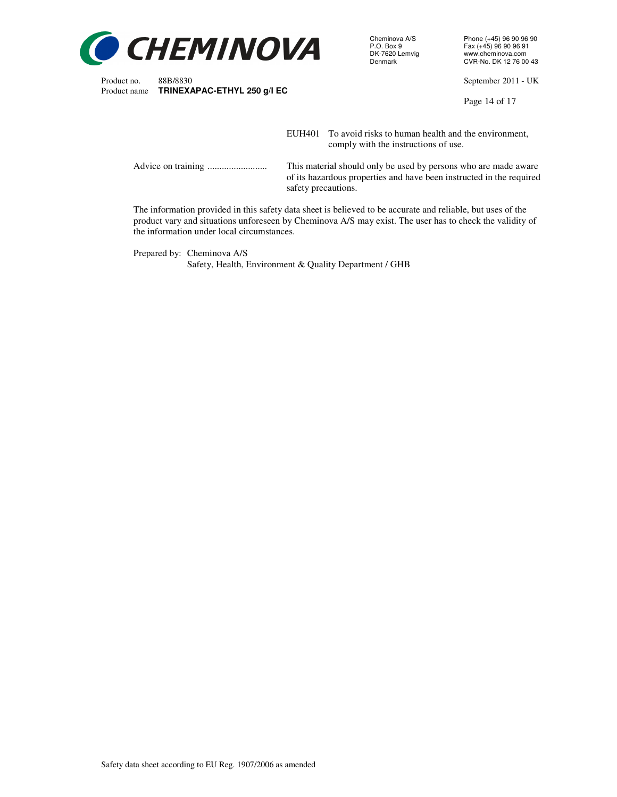

Cheminova A/S Phone (+45) 96 90 96 90<br>P.O. Box 9 Fax (+45) 96 90 96 91 P.O. Box 9 Fax (+45) 96 90 96 91 DK-7620 Lemvig www.cheminova.com<br>Denmark CVR-No. DK 12 76 00

Product no. 88B/8830<br>
Product name **TRINEXAPAC-ETHYL 250 q/l EC** extending the state of the September 2011 - UK

Page 14 of 17

EUH401 To avoid risks to human health and the environment, comply with the instructions of use.

 Advice on training ......................... This material should only be used by persons who are made aware of its hazardous properties and have been instructed in the required safety precautions.

 The information provided in this safety data sheet is believed to be accurate and reliable, but uses of the product vary and situations unforeseen by Cheminova A/S may exist. The user has to check the validity of the information under local circumstances.

 Prepared by: Cheminova A/S Safety, Health, Environment & Quality Department / GHB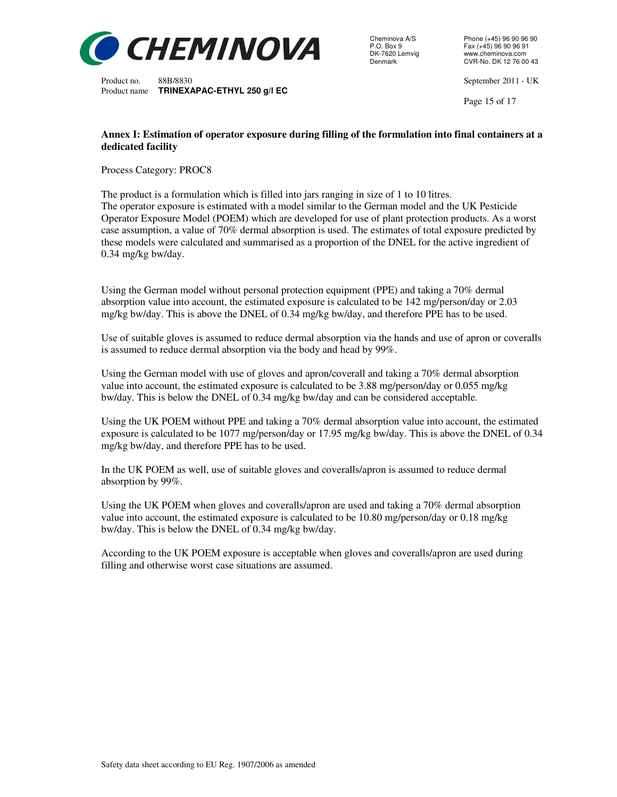

Cheminova A/S<br>
P.O. Box 9<br>
P.O. Box 9<br>
P.O. Box 9 P.O. Box 9 Fax (+45) 96 90 96 91<br>DK-7620 Lemvig www.cheminova.com DK-7620 Lemvig www.cheminova.com<br>Denmark CVR-No. DK 12 76 00

Product no. 88B/8830 September 2011 - UK

Page 15 of 17

## **Annex I: Estimation of operator exposure during filling of the formulation into final containers at a dedicated facility**

Process Category: PROC8

The product is a formulation which is filled into jars ranging in size of 1 to 10 litres. The operator exposure is estimated with a model similar to the German model and the UK Pesticide Operator Exposure Model (POEM) which are developed for use of plant protection products. As a worst case assumption, a value of 70% dermal absorption is used. The estimates of total exposure predicted by these models were calculated and summarised as a proportion of the DNEL for the active ingredient of 0.34 mg/kg bw/day.

Using the German model without personal protection equipment (PPE) and taking a 70% dermal absorption value into account, the estimated exposure is calculated to be 142 mg/person/day or 2.03 mg/kg bw/day. This is above the DNEL of 0.34 mg/kg bw/day, and therefore PPE has to be used.

Use of suitable gloves is assumed to reduce dermal absorption via the hands and use of apron or coveralls is assumed to reduce dermal absorption via the body and head by 99%.

Using the German model with use of gloves and apron/coverall and taking a 70% dermal absorption value into account, the estimated exposure is calculated to be 3.88 mg/person/day or 0.055 mg/kg bw/day. This is below the DNEL of 0.34 mg/kg bw/day and can be considered acceptable.

Using the UK POEM without PPE and taking a 70% dermal absorption value into account, the estimated exposure is calculated to be 1077 mg/person/day or 17.95 mg/kg bw/day. This is above the DNEL of 0.34 mg/kg bw/day, and therefore PPE has to be used.

In the UK POEM as well, use of suitable gloves and coveralls/apron is assumed to reduce dermal absorption by 99%.

Using the UK POEM when gloves and coveralls/apron are used and taking a 70% dermal absorption value into account, the estimated exposure is calculated to be 10.80 mg/person/day or 0.18 mg/kg bw/day. This is below the DNEL of 0.34 mg/kg bw/day.

According to the UK POEM exposure is acceptable when gloves and coveralls/apron are used during filling and otherwise worst case situations are assumed.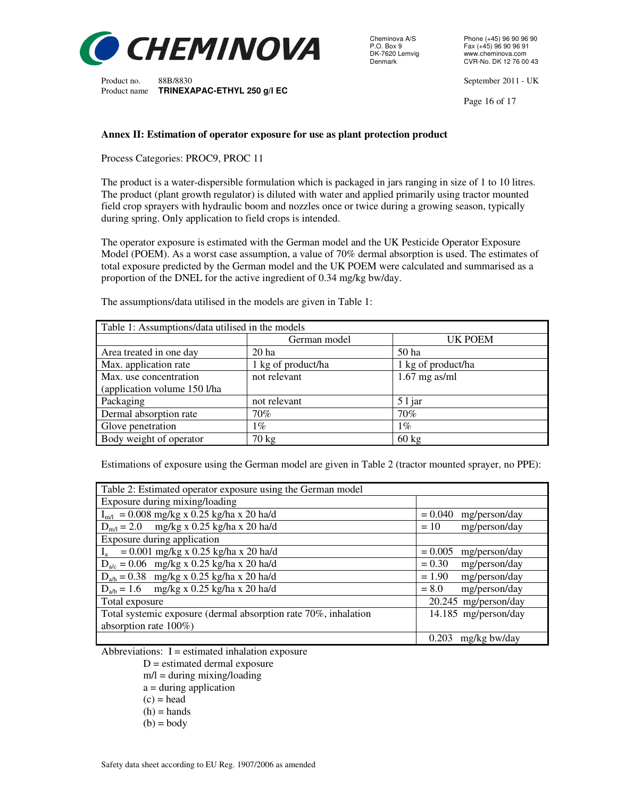

Cheminova A/S Phone (+45) 96 90 96 90<br>P.O. Box 9 Fax (+45) 96 90 96 91 P.O. Box 9 Fax (+45) 96 90 96 91<br>DK-7620 Lemvig www.cheminova.com DK-7620 Lemvig www.cheminova.com<br>Denmark CVR-No. DK 12 76 00

Product no. 88B/8830 September 2011 - UK

Page 16 of 17

#### **Annex II: Estimation of operator exposure for use as plant protection product**

Process Categories: PROC9, PROC 11

The product is a water-dispersible formulation which is packaged in jars ranging in size of 1 to 10 litres. The product (plant growth regulator) is diluted with water and applied primarily using tractor mounted field crop sprayers with hydraulic boom and nozzles once or twice during a growing season, typically during spring. Only application to field crops is intended.

The operator exposure is estimated with the German model and the UK Pesticide Operator Exposure Model (POEM). As a worst case assumption, a value of 70% dermal absorption is used. The estimates of total exposure predicted by the German model and the UK POEM were calculated and summarised as a proportion of the DNEL for the active ingredient of 0.34 mg/kg bw/day.

| Table 1: Assumptions/data utilised in the models |                    |                    |  |  |
|--------------------------------------------------|--------------------|--------------------|--|--|
|                                                  | German model       | UK POEM            |  |  |
| Area treated in one day                          | 20 <sub>ha</sub>   | 50 ha              |  |  |
| Max. application rate                            | 1 kg of product/ha | 1 kg of product/ha |  |  |
| Max. use concentration                           | not relevant       | $1.67$ mg as/ml    |  |  |
| (application volume 150 l/ha                     |                    |                    |  |  |
| Packaging                                        | not relevant       | $51$ jar           |  |  |
| Dermal absorption rate                           | 70%                | 70%                |  |  |
| Glove penetration                                | $1\%$              | $1\%$              |  |  |
| Body weight of operator                          | $70 \text{ kg}$    | $60 \text{ kg}$    |  |  |

The assumptions/data utilised in the models are given in Table 1:

Estimations of exposure using the German model are given in Table 2 (tractor mounted sprayer, no PPE):

| Table 2: Estimated operator exposure using the German model     |                            |  |  |  |
|-----------------------------------------------------------------|----------------------------|--|--|--|
| Exposure during mixing/loading                                  |                            |  |  |  |
| $I_{m/l}$ = 0.008 mg/kg x 0.25 kg/ha x 20 ha/d                  | $= 0.040$<br>mg/person/day |  |  |  |
| $D_{m/l} = 2.0$ mg/kg x 0.25 kg/ha x 20 ha/d                    | mg/person/day<br>$= 10$    |  |  |  |
| Exposure during application                                     |                            |  |  |  |
| $I_a = 0.001$ mg/kg x 0.25 kg/ha x 20 ha/d                      | $= 0.005$<br>mg/person/day |  |  |  |
| $D_{a/c} = 0.06$ mg/kg x 0.25 kg/ha x 20 ha/d                   | $= 0.30$<br>mg/person/day  |  |  |  |
| $D_{a/h} = 0.38$ mg/kg x 0.25 kg/ha x 20 ha/d                   | $= 1.90$<br>mg/person/day  |  |  |  |
| $D_{a/b} = 1.6$ mg/kg x 0.25 kg/ha x 20 ha/d                    | mg/person/day<br>$= 8.0$   |  |  |  |
| Total exposure                                                  | 20.245 mg/person/day       |  |  |  |
| Total systemic exposure (dermal absorption rate 70%, inhalation | 14.185 mg/person/day       |  |  |  |
| absorption rate $100\%$ )                                       |                            |  |  |  |
|                                                                 | mg/kg bw/day<br>0.203      |  |  |  |

Abbreviations:  $I =$  estimated inhalation exposure

- $D =$  estimated dermal exposure
- $m/l =$  during mixing/loading
- a = during application
- $(c)$  = head
- $(h)$  = hands
- $(b) = body$